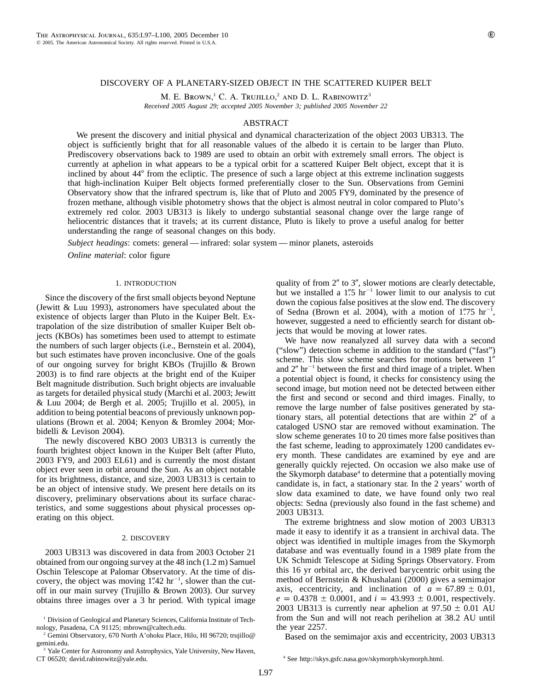## DISCOVERY OF A PLANETARY-SIZED OBJECT IN THE SCATTERED KUIPER BELT

M. E. BROWN,<sup>1</sup> C. A. Trujillo,<sup>2</sup> AND D. L. RABINOWITZ<sup>3</sup>

*Received 2005 August 29; accepted 2005 November 3; published 2005 November 22*

# ABSTRACT

We present the discovery and initial physical and dynamical characterization of the object 2003 UB313. The object is sufficiently bright that for all reasonable values of the albedo it is certain to be larger than Pluto. Prediscovery observations back to 1989 are used to obtain an orbit with extremely small errors. The object is currently at aphelion in what appears to be a typical orbit for a scattered Kuiper Belt object, except that it is inclined by about 44<sup>°</sup> from the ecliptic. The presence of such a large object at this extreme inclination suggests that high-inclination Kuiper Belt objects formed preferentially closer to the Sun. Observations from Gemini Observatory show that the infrared spectrum is, like that of Pluto and 2005 FY9, dominated by the presence of frozen methane, although visible photometry shows that the object is almost neutral in color compared to Pluto's extremely red color. 2003 UB313 is likely to undergo substantial seasonal change over the large range of heliocentric distances that it travels; at its current distance, Pluto is likely to prove a useful analog for better understanding the range of seasonal changes on this body.

*Subject headings*: comets: general — infrared: solar system — minor planets, asteroids *Online material*: color figure

## 1. INTRODUCTION

Since the discovery of the first small objects beyond Neptune (Jewitt & Luu 1993), astronomers have speculated about the existence of objects larger than Pluto in the Kuiper Belt. Extrapolation of the size distribution of smaller Kuiper Belt objects (KBOs) has sometimes been used to attempt to estimate the numbers of such larger objects (i.e., Bernstein et al. 2004), but such estimates have proven inconclusive. One of the goals of our ongoing survey for bright KBOs (Trujillo & Brown 2003) is to find rare objects at the bright end of the Kuiper Belt magnitude distribution. Such bright objects are invaluable as targets for detailed physical study (Marchi et al. 2003; Jewitt & Luu 2004; de Bergh et al. 2005; Trujillo et al. 2005), in addition to being potential beacons of previously unknown populations (Brown et al. 2004; Kenyon & Bromley 2004; Morbidelli & Levison 2004).

The newly discovered KBO 2003 UB313 is currently the fourth brightest object known in the Kuiper Belt (after Pluto, 2003 FY9, and 2003 EL61) and is currently the most distant object ever seen in orbit around the Sun. As an object notable for its brightness, distance, and size, 2003 UB313 is certain to be an object of intensive study. We present here details on its discovery, preliminary observations about its surface characteristics, and some suggestions about physical processes operating on this object.

#### 2. DISCOVERY

2003 UB313 was discovered in data from 2003 October 21 obtained from our ongoing survey at the 48 inch (1.2 m) Samuel Oschin Telescope at Palomar Observatory. At the time of discovery, the object was moving  $1''$ 42 hr<sup>-1</sup>, slower than the cutoff in our main survey (Trujillo & Brown 2003). Our survey obtains three images over a 3 hr period. With typical image

<sup>2</sup> Gemini Observatory, 670 North A'ohoku Place, Hilo, HI 96720; trujillo@ gemini.edu.

<sup>3</sup> Yale Center for Astronomy and Astrophysics, Yale University, New Haven, CT 06520; david.rabinowitz@yale.edu.

quality of from  $2''$  to  $3''$ , slower motions are clearly detectable, but we installed a  $1\rlap{.}''5$  hr<sup>-1</sup> lower limit to our analysis to cut down the copious false positives at the slow end. The discovery of Sedna (Brown et al. 2004), with a motion of  $1\rlap.{''}75$  hr<sup>-1</sup>, however, suggested a need to efficiently search for distant objects that would be moving at lower rates.

We have now reanalyzed all survey data with a second ("slow") detection scheme in addition to the standard ("fast") scheme. This slow scheme searches for motions between 1 and  $2''$  hr<sup>-1</sup> between the first and third image of a triplet. When a potential object is found, it checks for consistency using the second image, but motion need not be detected between either the first and second or second and third images. Finally, to remove the large number of false positives generated by stationary stars, all potential detections that are within  $2<sup>n</sup>$  of a cataloged USNO star are removed without examination. The slow scheme generates 10 to 20 times more false positives than the fast scheme, leading to approximately 1200 candidates every month. These candidates are examined by eye and are generally quickly rejected. On occasion we also make use of the Skymorph database<sup>4</sup> to determine that a potentially moving candidate is, in fact, a stationary star. In the 2 years' worth of slow data examined to date, we have found only two real objects: Sedna (previously also found in the fast scheme) and 2003 UB313.

The extreme brightness and slow motion of 2003 UB313 made it easy to identify it as a transient in archival data. The object was identified in multiple images from the Skymorph database and was eventually found in a 1989 plate from the UK Schmidt Telescope at Siding Springs Observatory. From this 16 yr orbital arc, the derived barycentric orbit using the method of Bernstein & Khushalani (2000) gives a semimajor axis, eccentricity, and inclination of  $a = 67.89 \pm 0.01$ ,  $e = 0.4378 \pm 0.0001$ , and  $i = 43.993 \pm 0.001$ , respectively. 2003 UB313 is currently near aphelion at  $97.50 \pm 0.01$  AU from the Sun and will not reach perihelion at 38.2 AU until the year 2257.

Based on the semimajor axis and eccentricity, 2003 UB313

<sup>&</sup>lt;sup>1</sup> Division of Geological and Planetary Sciences, California Institute of Technology, Pasadena, CA 91125; mbrown@caltech.edu.

<sup>4</sup> See http://skys.gsfc.nasa.gov/skymorph/skymorph.html.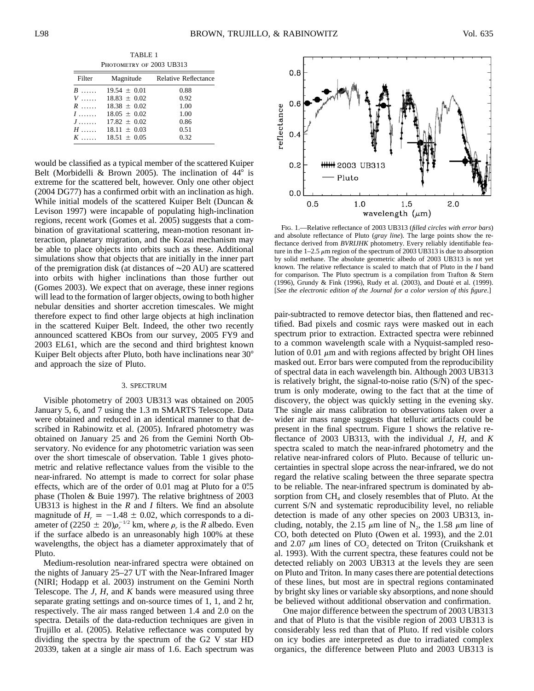TABLE 1 PHOTOMETRY OF 2003 UB313

| Filter                    | Magnitude        | <b>Relative Reflectance</b> |  |
|---------------------------|------------------|-----------------------------|--|
| $B$                       | $19.54 + 0.01$   | 0.88                        |  |
|                           | $V$ 18.83 + 0.02 | 0.92                        |  |
| $R$                       | $18.38 + 0.02$   | 1.00                        |  |
| $I$                       | $18.05 \pm 0.02$ | 1.00                        |  |
| $J$                       | $17.82 \pm 0.02$ | 0.86                        |  |
| $H$                       | $18.11 \pm 0.03$ | 0.51                        |  |
| $K$ . The same set of $K$ | $18.51 \pm 0.05$ | 0.32                        |  |

would be classified as a typical member of the scattered Kuiper Belt (Morbidelli & Brown 2005). The inclination of  $44^\circ$  is extreme for the scattered belt, however. Only one other object (2004 DG77) has a confirmed orbit with an inclination as high. While initial models of the scattered Kuiper Belt (Duncan & Levison 1997) were incapable of populating high-inclination regions, recent work (Gomes et al. 2005) suggests that a combination of gravitational scattering, mean-motion resonant interaction, planetary migration, and the Kozai mechanism may be able to place objects into orbits such as these. Additional simulations show that objects that are initially in the inner part of the premigration disk (at distances of ∼20 AU) are scattered into orbits with higher inclinations than those further out (Gomes 2003). We expect that on average, these inner regions will lead to the formation of larger objects, owing to both higher nebular densities and shorter accretion timescales. We might therefore expect to find other large objects at high inclination in the scattered Kuiper Belt. Indeed, the other two recently announced scattered KBOs from our survey, 2005 FY9 and 2003 EL61, which are the second and third brightest known Kuiper Belt objects after Pluto, both have inclinations near 30° and approach the size of Pluto.

## 3. SPECTRUM

Visible photometry of 2003 UB313 was obtained on 2005 January 5, 6, and 7 using the 1.3 m SMARTS Telescope. Data were obtained and reduced in an identical manner to that described in Rabinowitz et al. (2005). Infrared photometry was obtained on January 25 and 26 from the Gemini North Observatory. No evidence for any photometric variation was seen over the short timescale of observation. Table 1 gives photometric and relative reflectance values from the visible to the near-infrared. No attempt is made to correct for solar phase effects, which are of the order of 0.01 mag at Pluto for a 0°.5 phase (Tholen & Buie 1997). The relative brightness of 2003 UB313 is highest in the *R* and *I* filters. We find an absolute magnitude of  $H_r = -1.48 \pm 0.02$ , which corresponds to a diameter of  $(2250 + 20)\rho_r^{-1/2}$  km, where  $\rho_r$  is the *R* albedo. Even if the surface albedo is an unreasonably high 100% at these wavelengths, the object has a diameter approximately that of Pluto.

Medium-resolution near-infrared spectra were obtained on the nights of January 25–27 UT with the Near-Infrared Imager (NIRI; Hodapp et al. 2003) instrument on the Gemini North Telescope. The *J*, *H*, and *K* bands were measured using three separate grating settings and on-source times of 1, 1, and 2 hr, respectively. The air mass ranged between 1.4 and 2.0 on the spectra. Details of the data-reduction techniques are given in Trujillo et al. (2005). Relative reflectance was computed by dividing the spectra by the spectrum of the G2 V star HD 20339, taken at a single air mass of 1.6. Each spectrum was



Fig. 1.—Relative reflectance of 2003 UB313 (*filled circles with error bars*) and absolute reflectance of Pluto (*gray line*). The large points show the reflectance derived from *BVRIJHK* photometry. Every reliably identifiable feature in the  $1-2.5 \mu m$  region of the spectrum of 2003 UB313 is due to absorption by solid methane. The absolute geometric albedo of 2003 UB313 is not yet known. The relative reflectance is scaled to match that of Pluto in the *I* band for comparison. The Pluto spectrum is a compilation from Trafton & Stern (1996), Grundy & Fink (1996), Rudy et al. (2003), and Douté et al. (1999). [*See the electronic edition of the Journal for a color version of this figure*.]

pair-subtracted to remove detector bias, then flattened and rectified. Bad pixels and cosmic rays were masked out in each spectrum prior to extraction. Extracted spectra were rebinned to a common wavelength scale with a Nyquist-sampled resolution of 0.01  $\mu$ m and with regions affected by bright OH lines masked out. Error bars were computed from the reproducibility of spectral data in each wavelength bin. Although 2003 UB313 is relatively bright, the signal-to-noise ratio (S/N) of the spectrum is only moderate, owing to the fact that at the time of discovery, the object was quickly setting in the evening sky. The single air mass calibration to observations taken over a wider air mass range suggests that telluric artifacts could be present in the final spectrum. Figure 1 shows the relative reflectance of 2003 UB313, with the individual *J*, *H*, and *K* spectra scaled to match the near-infrared photometry and the relative near-infrared colors of Pluto. Because of telluric uncertainties in spectral slope across the near-infrared, we do not regard the relative scaling between the three separate spectra to be reliable. The near-infrared spectrum is dominated by absorption from  $CH<sub>4</sub>$  and closely resembles that of Pluto. At the current S/N and systematic reproducibility level, no reliable detection is made of any other species on 2003 UB313, including, notably, the 2.15  $\mu$ m line of N<sub>2</sub>, the 1.58  $\mu$ m line of CO, both detected on Pluto (Owen et al. 1993), and the 2.01 and 2.07  $\mu$ m lines of CO<sub>2</sub> detected on Triton (Cruikshank et al. 1993). With the current spectra, these features could not be detected reliably on 2003 UB313 at the levels they are seen on Pluto and Triton. In many cases there are potential detections of these lines, but most are in spectral regions contaminated by bright sky lines or variable sky absorptions, and none should be believed without additional observation and confirmation.

One major difference between the spectrum of 2003 UB313 and that of Pluto is that the visible region of 2003 UB313 is considerably less red than that of Pluto. If red visible colors on icy bodies are interpreted as due to irradiated complex organics, the difference between Pluto and 2003 UB313 is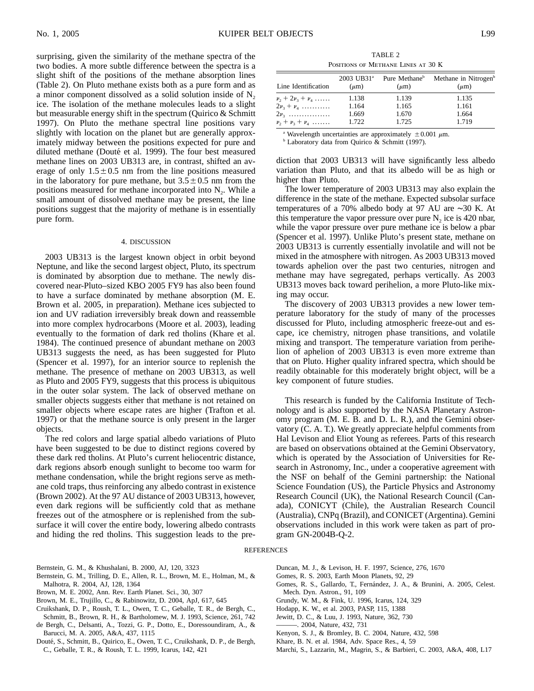surprising, given the similarity of the methane spectra of the two bodies. A more subtle difference between the spectra is a slight shift of the positions of the methane absorption lines (Table 2). On Pluto methane exists both as a pure form and as a minor component dissolved as a solid solution inside of  $N<sub>2</sub>$ ice. The isolation of the methane molecules leads to a slight but measurable energy shift in the spectrum (Quirico & Schmitt 1997). On Pluto the methane spectral line positions vary slightly with location on the planet but are generally approximately midway between the positions expected for pure and diluted methane (Douté et al. 1999). The four best measured methane lines on 2003 UB313 are, in contrast, shifted an average of only  $1.5\pm0.5$  nm from the line positions measured in the laboratory for pure methane, but  $3.5\pm0.5$  nm from the positions measured for methane incorporated into  $N_2$ . While a small amount of dissolved methane may be present, the line positions suggest that the majority of methane is in essentially pure form.

#### 4. DISCUSSION

2003 UB313 is the largest known object in orbit beyond Neptune, and like the second largest object, Pluto, its spectrum is dominated by absorption due to methane. The newly discovered near-Pluto–sized KBO 2005 FY9 has also been found to have a surface dominated by methane absorption (M. E. Brown et al. 2005, in preparation). Methane ices subjected to ion and UV radiation irreversibly break down and reassemble into more complex hydrocarbons (Moore et al. 2003), leading eventually to the formation of dark red tholins (Khare et al. 1984). The continued presence of abundant methane on 2003 UB313 suggests the need, as has been suggested for Pluto (Spencer et al. 1997), for an interior source to replenish the methane. The presence of methane on 2003 UB313, as well as Pluto and 2005 FY9, suggests that this process is ubiquitous in the outer solar system. The lack of observed methane on smaller objects suggests either that methane is not retained on smaller objects where escape rates are higher (Trafton et al. 1997) or that the methane source is only present in the larger objects.

The red colors and large spatial albedo variations of Pluto have been suggested to be due to distinct regions covered by these dark red tholins. At Pluto's current heliocentric distance, dark regions absorb enough sunlight to become too warm for methane condensation, while the bright regions serve as methane cold traps, thus reinforcing any albedo contrast in existence (Brown 2002). At the 97 AU distance of 2003 UB313, however, even dark regions will be sufficiently cold that as methane freezes out of the atmosphere or is replenished from the subsurface it will cover the entire body, lowering albedo contrasts and hiding the red tholins. This suggestion leads to the pre-

TABLE 2 Positions of Methane Lines at 30 K

| Line Identification             | $(\mu m)$ | $2003$ UB31 <sup>a</sup> Pure Methane <sup>b</sup><br>$(\mu m)$ | Methane in Nitrogen <sup>b</sup><br>$(\mu m)$ |
|---------------------------------|-----------|-----------------------------------------------------------------|-----------------------------------------------|
| $\nu_2 + 2\nu_3 + \nu_4 \ldots$ | 1.138     | 1.139                                                           | 1.135                                         |
| $2\nu_3 + \nu_4$                | 1.164     | 1.165                                                           | 1.161                                         |
| $2\nu_{3}$                      | 1.669     | 1.670                                                           | 1.664                                         |
| $\nu_2 + \nu_3 + \nu_4$         | 1.722     | 1.725                                                           | 1.719                                         |

<sup>a</sup> Wavelength uncertainties are approximately  $\pm 0.001 \mu$ m. b Laboratory data from Quirico & Schmitt (1997).

diction that 2003 UB313 will have significantly less albedo variation than Pluto, and that its albedo will be as high or higher than Pluto.

The lower temperature of 2003 UB313 may also explain the difference in the state of the methane. Expected subsolar surface temperatures of a 70% albedo body at 97 AU are ∼30 K. At this temperature the vapor pressure over pure  $N_2$  ice is 420 nbar, while the vapor pressure over pure methane ice is below a pbar (Spencer et al. 1997). Unlike Pluto's present state, methane on 2003 UB313 is currently essentially involatile and will not be mixed in the atmosphere with nitrogen. As 2003 UB313 moved towards aphelion over the past two centuries, nitrogen and methane may have segregated, perhaps vertically. As 2003 UB313 moves back toward perihelion, a more Pluto-like mixing may occur.

The discovery of 2003 UB313 provides a new lower temperature laboratory for the study of many of the processes discussed for Pluto, including atmospheric freeze-out and escape, ice chemistry, nitrogen phase transitions, and volatile mixing and transport. The temperature variation from perihelion of aphelion of 2003 UB313 is even more extreme than that on Pluto. Higher quality infrared spectra, which should be readily obtainable for this moderately bright object, will be a key component of future studies.

This research is funded by the California Institute of Technology and is also supported by the NASA Planetary Astronomy program (M. E. B. and D. L. R.), and the Gemini observatory (C. A. T.). We greatly appreciate helpful comments from Hal Levison and Eliot Young as referees. Parts of this research are based on observations obtained at the Gemini Observatory, which is operated by the Association of Universities for Research in Astronomy, Inc., under a cooperative agreement with the NSF on behalf of the Gemini partnership: the National Science Foundation (US), the Particle Physics and Astronomy Research Council (UK), the National Research Council (Canada), CONICYT (Chile), the Australian Research Council (Australia), CNPq (Brazil), and CONICET (Argentina). Gemini observations included in this work were taken as part of program GN-2004B-Q-2.

# **REFERENCES**

- Bernstein, G. M., & Khushalani, B. 2000, AJ, 120, 3323
- Bernstein, G. M., Trilling, D. E., Allen, R. L., Brown, M. E., Holman, M., & Malhotra, R. 2004, AJ, 128, 1364
- Brown, M. E. 2002, Ann. Rev. Earth Planet. Sci., 30, 307
- Brown, M. E., Trujillo, C., & Rabinowitz, D. 2004, ApJ, 617, 645
- Cruikshank, D. P., Roush, T. L., Owen, T. C., Geballe, T. R., de Bergh, C., Schmitt, B., Brown, R. H., & Bartholomew, M. J. 1993, Science, 261, 742
- de Bergh, C., Delsanti, A., Tozzi, G. P., Dotto, E., Doressoundiram, A., & Barucci, M. A. 2005, A&A, 437, 1115
- Douté, S., Schmitt, B., Quirico, E., Owen, T. C., Cruikshank, D. P., de Bergh, C., Geballe, T. R., & Roush, T. L. 1999, Icarus, 142, 421
- Duncan, M. J., & Levison, H. F. 1997, Science, 276, 1670
- Gomes, R. S. 2003, Earth Moon Planets, 92, 29
- Gomes, R. S., Gallardo, T., Fernández, J. A., & Brunini, A. 2005, Celest. Mech. Dyn. Astron., 91, 109
- Grundy, W. M., & Fink, U. 1996, Icarus, 124, 329
- Hodapp, K. W., et al. 2003, PASP, 115, 1388
- Jewitt, D. C., & Luu, J. 1993, Nature, 362, 730
- ———. 2004, Nature, 432, 731
- Kenyon, S. J., & Bromley, B. C. 2004, Nature, 432, 598
- Khare, B. N. et al. 1984, Adv. Space Res., 4, 59
- Marchi, S., Lazzarin, M., Magrin, S., & Barbieri, C. 2003, A&A, 408, L17